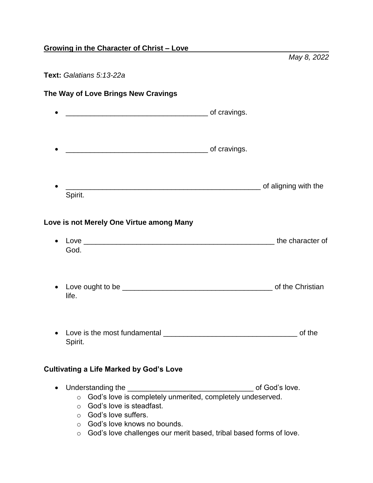## **Growing in the Character of Christ – Love**

#### **Text:** *Galatians 5:13-22a*

# **The Way of Love Brings New Cravings** \_\_\_\_\_\_\_\_\_\_\_\_\_\_\_\_\_\_\_\_\_\_\_\_\_\_\_\_\_\_\_\_\_\_\_ of cravings. \_\_\_\_\_\_\_\_\_\_\_\_\_\_\_\_\_\_\_\_\_\_\_\_\_\_\_\_\_\_\_\_\_\_\_ of cravings. •  $\qquad \qquad \qquad$  of aligning with the Spirit. **Love is not Merely One Virtue among Many** • Love the character of God.

*May 8, 2022*

- Love ought to be \_\_\_\_\_\_\_\_\_\_\_\_\_\_\_\_\_\_\_\_\_\_\_\_\_\_\_\_\_\_\_\_\_\_\_\_\_ of the Christian life.
- Love is the most fundamental example and the set of the set of the set of the set of the set of the set of the set of the set of the set of the set of the set of the set of the set of the set of the set of the set of the Spirit.

# **Cultivating a Life Marked by God's Love**

- Understanding the \_\_\_\_\_\_\_\_\_\_\_\_\_\_\_\_\_\_\_\_\_\_\_\_\_\_\_\_\_\_\_ of God's love.
	- o God's love is completely unmerited, completely undeserved.
	- o God's love is steadfast.
	- o God's love suffers.
	- o God's love knows no bounds.
	- o God's love challenges our merit based, tribal based forms of love.